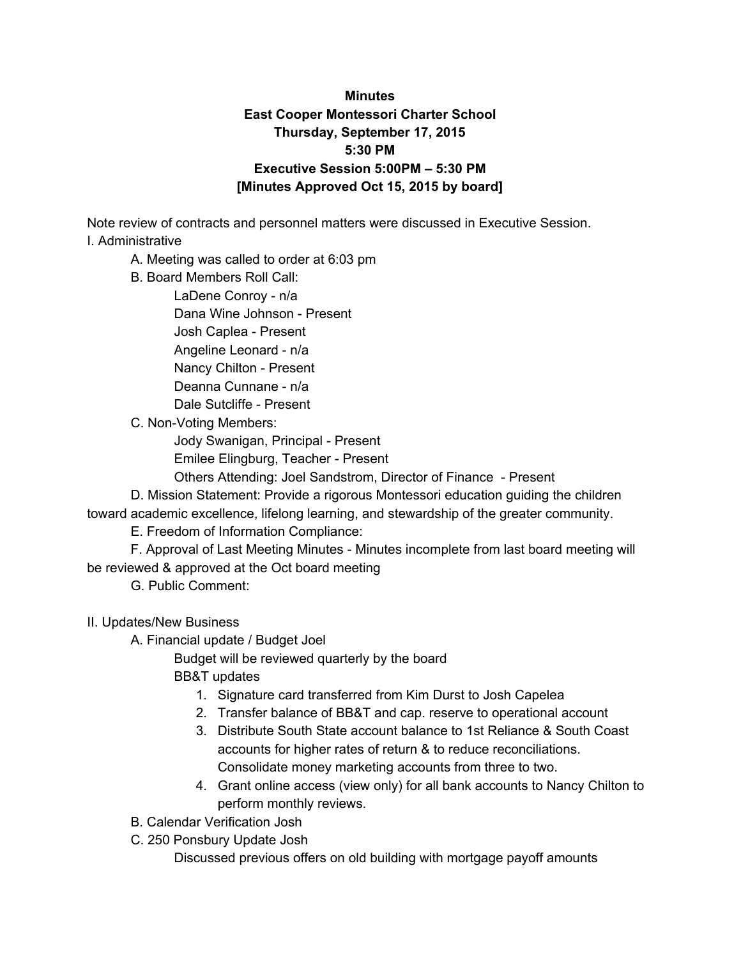## **Minutes East Cooper Montessori Charter School Thursday, September 17, 2015 5:30 PM Executive Session 5:00PM – 5:30 PM [Minutes Approved Oct 15, 2015 by board]**

Note review of contracts and personnel matters were discussed in Executive Session.

I. Administrative

- A. Meeting was called to order at 6:03 pm
- B. Board Members Roll Call:

LaDene Conroy - n/a Dana Wine Johnson - Present Josh Caplea - Present Angeline Leonard - n/a Nancy Chilton - Present Deanna Cunnane - n/a Dale Sutcliffe - Present

C. Non-Voting Members:

Jody Swanigan, Principal - Present

Emilee Elingburg, Teacher - Present

Others Attending: Joel Sandstrom, Director of Finance - Present

D. Mission Statement: Provide a rigorous Montessori education guiding the children toward academic excellence, lifelong learning, and stewardship of the greater community.

E. Freedom of Information Compliance:

F. Approval of Last Meeting Minutes - Minutes incomplete from last board meeting will be reviewed & approved at the Oct board meeting

G. Public Comment:

- II. Updates/New Business
	- A. Financial update / Budget Joel

Budget will be reviewed quarterly by the board BB&T updates

- 1. Signature card transferred from Kim Durst to Josh Capelea
- 2. Transfer balance of BB&T and cap. reserve to operational account
- 3. Distribute South State account balance to 1st Reliance & South Coast accounts for higher rates of return & to reduce reconciliations. Consolidate money marketing accounts from three to two.
- 4. Grant online access (view only) for all bank accounts to Nancy Chilton to perform monthly reviews.
- B. Calendar Verification Josh
- C. 250 Ponsbury Update Josh

Discussed previous offers on old building with mortgage payoff amounts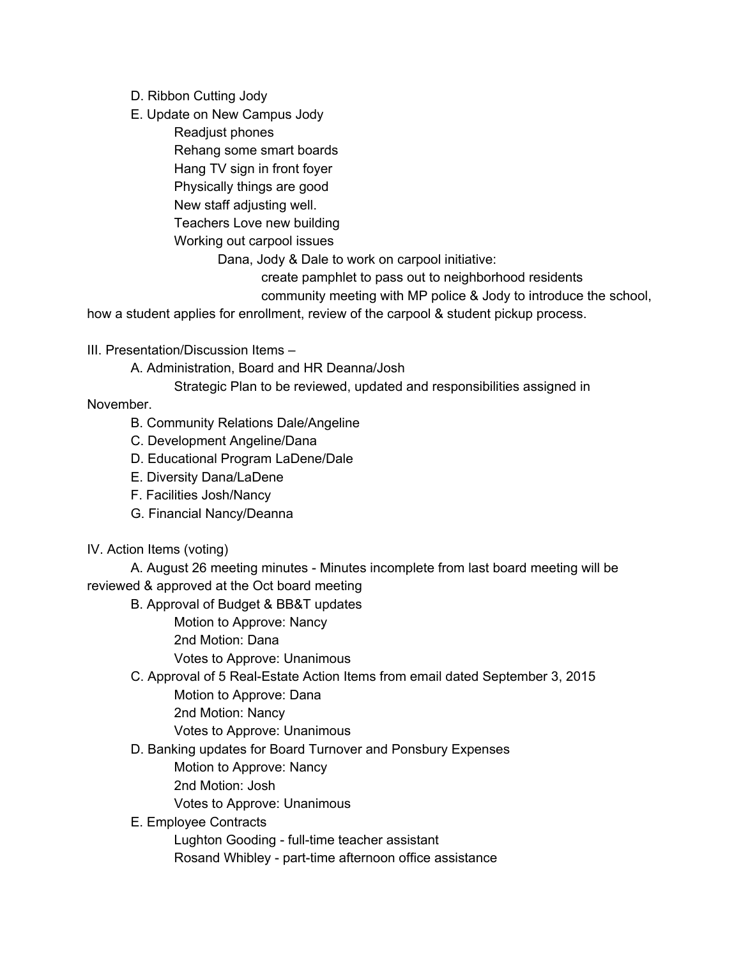- D. Ribbon Cutting Jody
- E. Update on New Campus Jody

Readjust phones Rehang some smart boards Hang TV sign in front foyer Physically things are good New staff adjusting well. Teachers Love new building Working out carpool issues

Dana, Jody & Dale to work on carpool initiative:

create pamphlet to pass out to neighborhood residents

community meeting with MP police & Jody to introduce the school,

how a student applies for enrollment, review of the carpool & student pickup process.

III. Presentation/Discussion Items –

A. Administration, Board and HR Deanna/Josh

Strategic Plan to be reviewed, updated and responsibilities assigned in

November.

- B. Community Relations Dale/Angeline
- C. Development Angeline/Dana
- D. Educational Program LaDene/Dale
- E. Diversity Dana/LaDene
- F. Facilities Josh/Nancy
- G. Financial Nancy/Deanna
- IV. Action Items (voting)

A. August 26 meeting minutes - Minutes incomplete from last board meeting will be reviewed & approved at the Oct board meeting

B. Approval of Budget & BB&T updates

Motion to Approve: Nancy

2nd Motion: Dana

Votes to Approve: Unanimous

C. Approval of 5 Real-Estate Action Items from email dated September 3, 2015

Motion to Approve: Dana

2nd Motion: Nancy

Votes to Approve: Unanimous

D. Banking updates for Board Turnover and Ponsbury Expenses

Motion to Approve: Nancy

2nd Motion: Josh

Votes to Approve: Unanimous

E. Employee Contracts

Lughton Gooding - full-time teacher assistant

Rosand Whibley - part-time afternoon office assistance